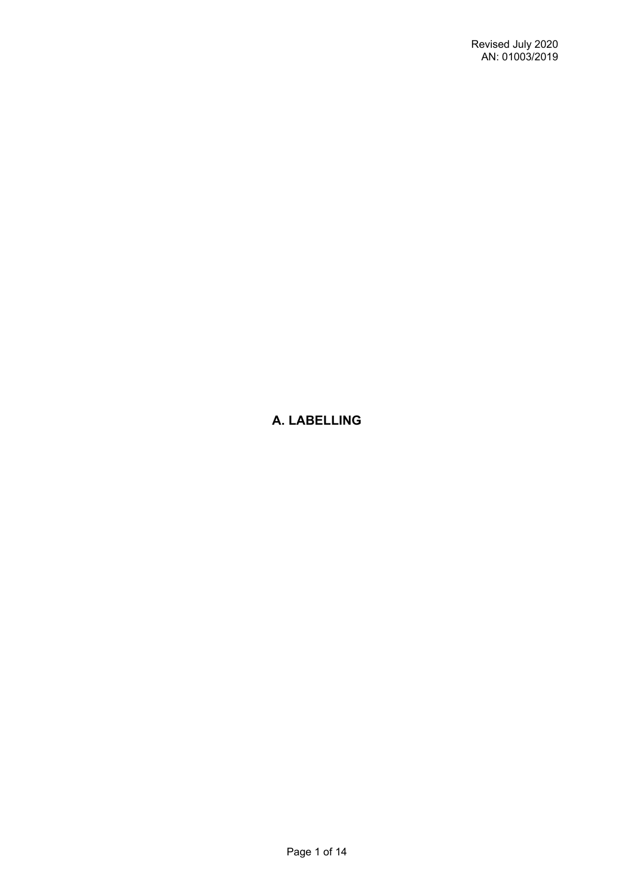# **A. LABELLING**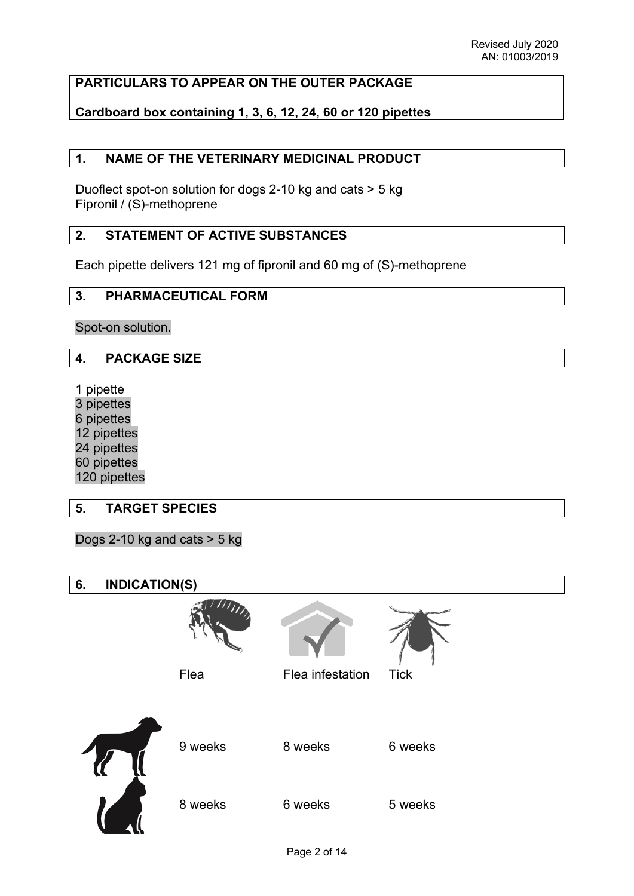### **PARTICULARS TO APPEAR ON THE OUTER PACKAGE**

### **Cardboard box containing 1, 3, 6, 12, 24, 60 or 120 pipettes**

### **1. NAME OF THE VETERINARY MEDICINAL PRODUCT**

Duoflect spot-on solution for dogs 2-10 kg and cats > 5 kg Fipronil / (S)-methoprene

#### **2. STATEMENT OF ACTIVE SUBSTANCES**

Each pipette delivers 121 mg of fipronil and 60 mg of (S)-methoprene

#### **3. PHARMACEUTICAL FORM**

Spot-on solution.

#### **4. PACKAGE SIZE**

1 pipette 3 pipettes 6 pipettes 12 pipettes 24 pipettes 60 pipettes 120 pipettes

#### **5. TARGET SPECIES**

Dogs 2-10 kg and cats  $>$  5 kg

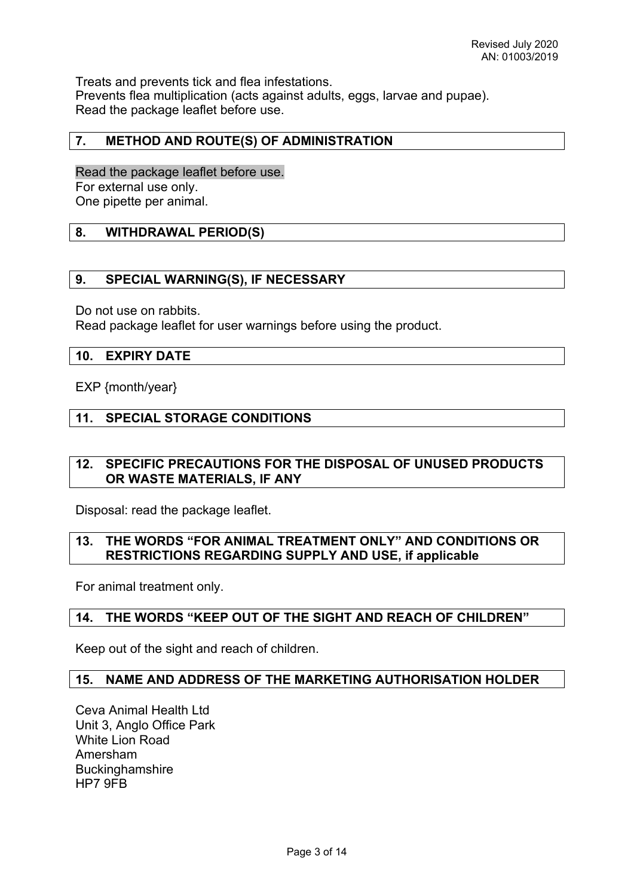Treats and prevents tick and flea infestations. Prevents flea multiplication (acts against adults, eggs, larvae and pupae). Read the package leaflet before use.

#### **7. METHOD AND ROUTE(S) OF ADMINISTRATION**

Read the package leaflet before use. For external use only. One pipette per animal.

#### **8. WITHDRAWAL PERIOD(S)**

#### **9. SPECIAL WARNING(S), IF NECESSARY**

Do not use on rabbits.

Read package leaflet for user warnings before using the product.

#### **10. EXPIRY DATE**

EXP {month/year}

#### **11. SPECIAL STORAGE CONDITIONS**

#### **12. SPECIFIC PRECAUTIONS FOR THE DISPOSAL OF UNUSED PRODUCTS OR WASTE MATERIALS, IF ANY**

Disposal: read the package leaflet.

#### **13. THE WORDS "FOR ANIMAL TREATMENT ONLY" AND CONDITIONS OR RESTRICTIONS REGARDING SUPPLY AND USE, if applicable**

For animal treatment only.

#### **14. THE WORDS "KEEP OUT OF THE SIGHT AND REACH OF CHILDREN"**

Keep out of the sight and reach of children.

#### **15. NAME AND ADDRESS OF THE MARKETING AUTHORISATION HOLDER**

Ceva Animal Health Ltd Unit 3, Anglo Office Park White Lion Road Amersham **Buckinghamshire** HP7 9FB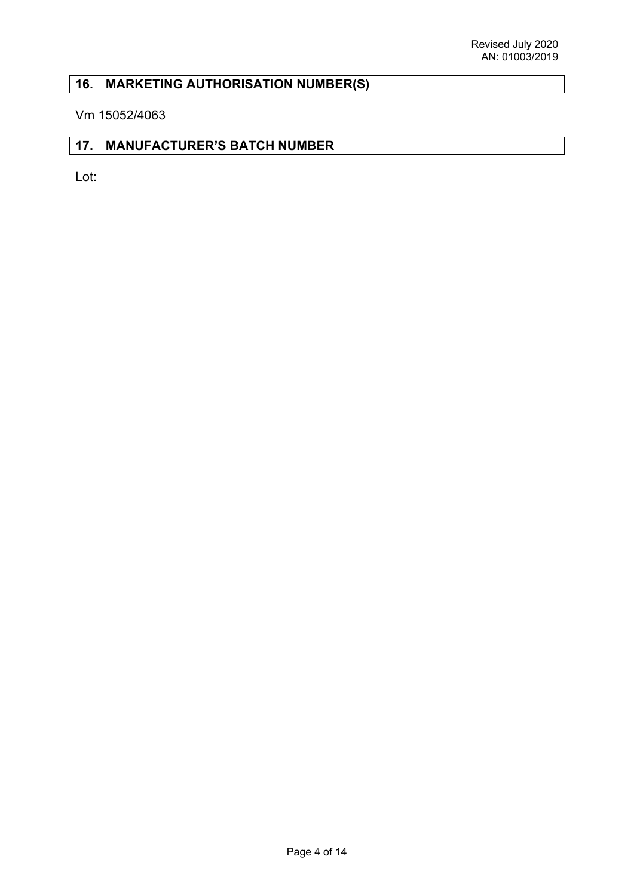# **16. MARKETING AUTHORISATION NUMBER(S)**

Vm 15052/4063

### **17. MANUFACTURER'S BATCH NUMBER**

Lot: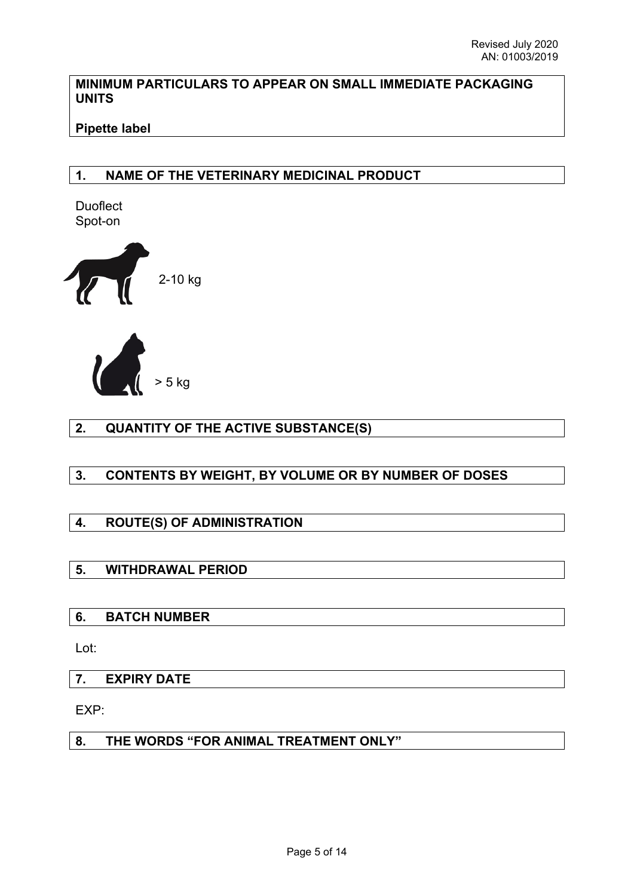#### **MINIMUM PARTICULARS TO APPEAR ON SMALL IMMEDIATE PACKAGING UNITS**

## **Pipette label**

## **1. NAME OF THE VETERINARY MEDICINAL PRODUCT**

**Duoflect** Spot-on





## **2. QUANTITY OF THE ACTIVE SUBSTANCE(S)**

## **3. CONTENTS BY WEIGHT, BY VOLUME OR BY NUMBER OF DOSES**

## **4. ROUTE(S) OF ADMINISTRATION**

## **5. WITHDRAWAL PERIOD**

## **6. BATCH NUMBER**

Lot:

## **7. EXPIRY DATE**

EXP:

## **8. THE WORDS "FOR ANIMAL TREATMENT ONLY"**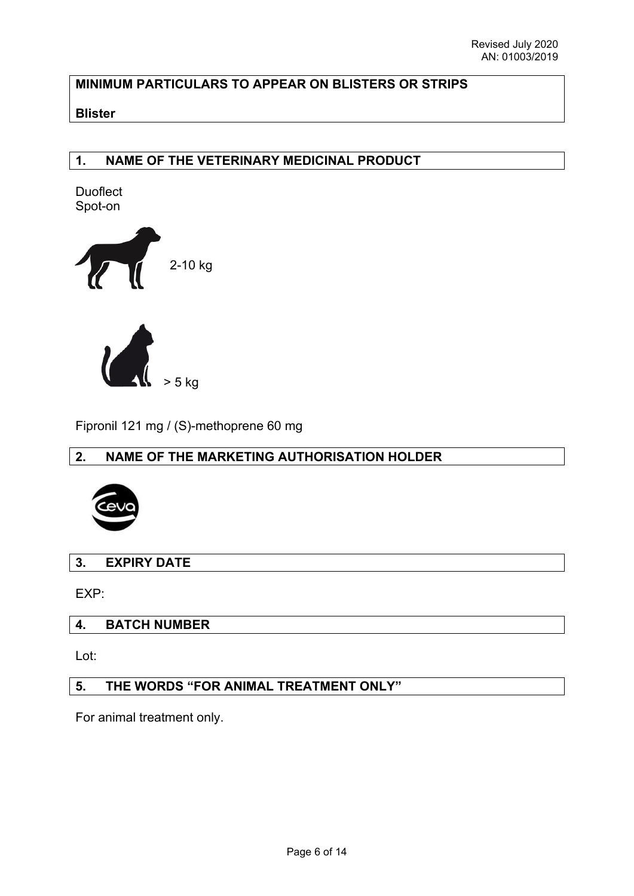## **MINIMUM PARTICULARS TO APPEAR ON BLISTERS OR STRIPS**

#### **Blister**

### **1. NAME OF THE VETERINARY MEDICINAL PRODUCT**

**Duoflect** Spot-on



Fipronil 121 mg / (S)-methoprene 60 mg

## **2. NAME OF THE MARKETING AUTHORISATION HOLDER**



**3. EXPIRY DATE**

EXP:

#### **4. BATCH NUMBER**

Lot:

# **5. THE WORDS "FOR ANIMAL TREATMENT ONLY"**

For animal treatment only.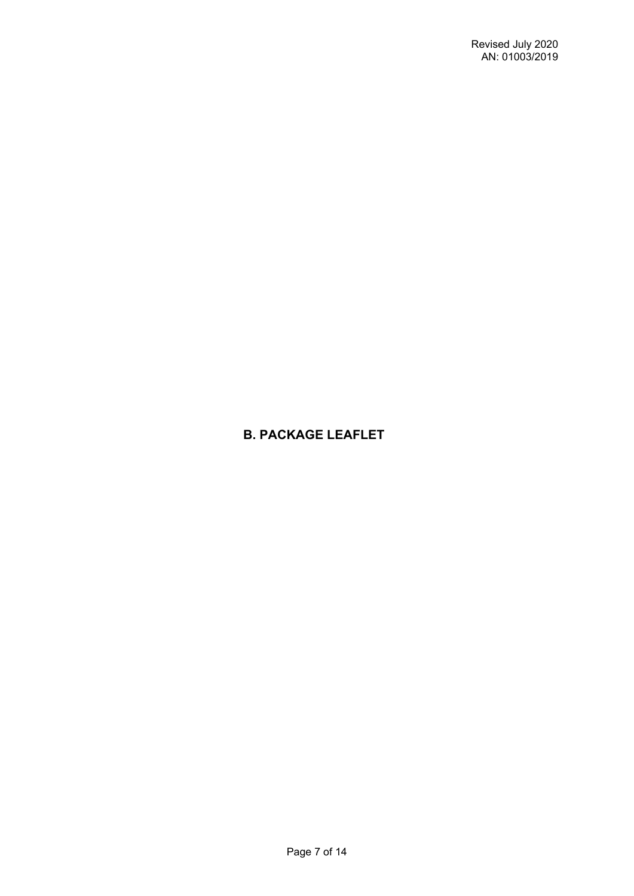# **B. PACKAGE LEAFLET**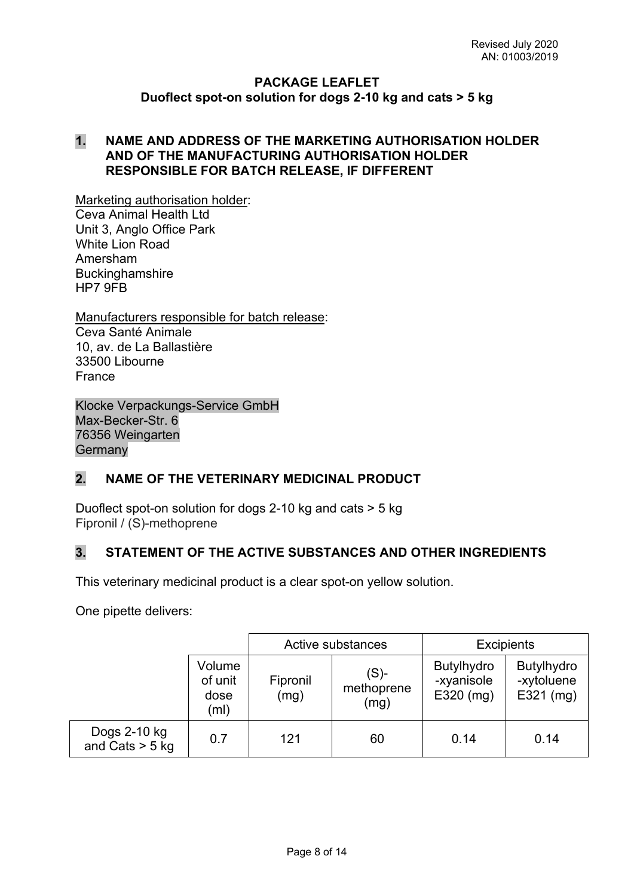#### **PACKAGE LEAFLET Duoflect spot-on solution for dogs 2-10 kg and cats > 5 kg**

#### **1. NAME AND ADDRESS OF THE MARKETING AUTHORISATION HOLDER AND OF THE MANUFACTURING AUTHORISATION HOLDER RESPONSIBLE FOR BATCH RELEASE, IF DIFFERENT**

Marketing authorisation holder:

Ceva Animal Health Ltd Unit 3, Anglo Office Park White Lion Road Amersham Buckinghamshire HP7 9FB

Manufacturers responsible for batch release: Ceva Santé Animale 10, av. de La Ballastière 33500 Libourne France

Klocke Verpackungs-Service GmbH Max-Becker-Str. 6 76356 Weingarten **Germany** 

## **2. NAME OF THE VETERINARY MEDICINAL PRODUCT**

Duoflect spot-on solution for dogs 2-10 kg and cats > 5 kg Fipronil / (S)-methoprene

## **3. STATEMENT OF THE ACTIVE SUBSTANCES AND OTHER INGREDIENTS**

This veterinary medicinal product is a clear spot-on yellow solution.

One pipette delivers:

|                                   |                                   | Active substances |                               | <b>Excipients</b>                              |                                                |
|-----------------------------------|-----------------------------------|-------------------|-------------------------------|------------------------------------------------|------------------------------------------------|
|                                   | Volume<br>of unit<br>dose<br>(ml) | Fipronil<br>(mg)  | $(S)$ -<br>methoprene<br>(mg) | <b>Butylhydro</b><br>-xyanisole<br>$E320$ (mg) | <b>Butylhydro</b><br>-xytoluene<br>$E321$ (mg) |
| Dogs 2-10 kg<br>and Cats $>$ 5 kg | 0.7                               | 121               | 60                            | 0.14                                           | 0.14                                           |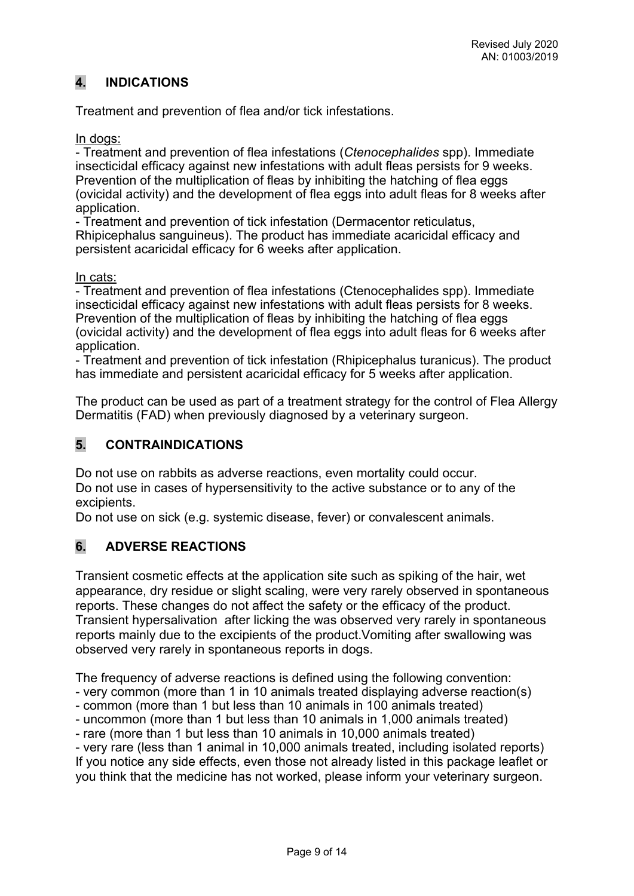# **4. INDICATIONS**

Treatment and prevention of flea and/or tick infestations.

In dogs:

- Treatment and prevention of flea infestations (*Ctenocephalides* spp). Immediate insecticidal efficacy against new infestations with adult fleas persists for 9 weeks. Prevention of the multiplication of fleas by inhibiting the hatching of flea eggs (ovicidal activity) and the development of flea eggs into adult fleas for 8 weeks after application.

- Treatment and prevention of tick infestation (Dermacentor reticulatus, Rhipicephalus sanguineus). The product has immediate acaricidal efficacy and persistent acaricidal efficacy for 6 weeks after application.

In cats:

- Treatment and prevention of flea infestations (Ctenocephalides spp). Immediate insecticidal efficacy against new infestations with adult fleas persists for 8 weeks. Prevention of the multiplication of fleas by inhibiting the hatching of flea eggs (ovicidal activity) and the development of flea eggs into adult fleas for 6 weeks after application.

- Treatment and prevention of tick infestation (Rhipicephalus turanicus). The product has immediate and persistent acaricidal efficacy for 5 weeks after application.

The product can be used as part of a treatment strategy for the control of Flea Allergy Dermatitis (FAD) when previously diagnosed by a veterinary surgeon.

## **5. CONTRAINDICATIONS**

Do not use on rabbits as adverse reactions, even mortality could occur. Do not use in cases of hypersensitivity to the active substance or to any of the excipients.

Do not use on sick (e.g. systemic disease, fever) or convalescent animals.

## **6. ADVERSE REACTIONS**

Transient cosmetic effects at the application site such as spiking of the hair, wet appearance, dry residue or slight scaling, were very rarely observed in spontaneous reports. These changes do not affect the safety or the efficacy of the product. Transient hypersalivation after licking the was observed very rarely in spontaneous reports mainly due to the excipients of the product.Vomiting after swallowing was observed very rarely in spontaneous reports in dogs.

The frequency of adverse reactions is defined using the following convention:

- very common (more than 1 in 10 animals treated displaying adverse reaction(s)

- common (more than 1 but less than 10 animals in 100 animals treated)
- uncommon (more than 1 but less than 10 animals in 1,000 animals treated)

- rare (more than 1 but less than 10 animals in 10,000 animals treated)

- very rare (less than 1 animal in 10,000 animals treated, including isolated reports) If you notice any side effects, even those not already listed in this package leaflet or you think that the medicine has not worked, please inform your veterinary surgeon.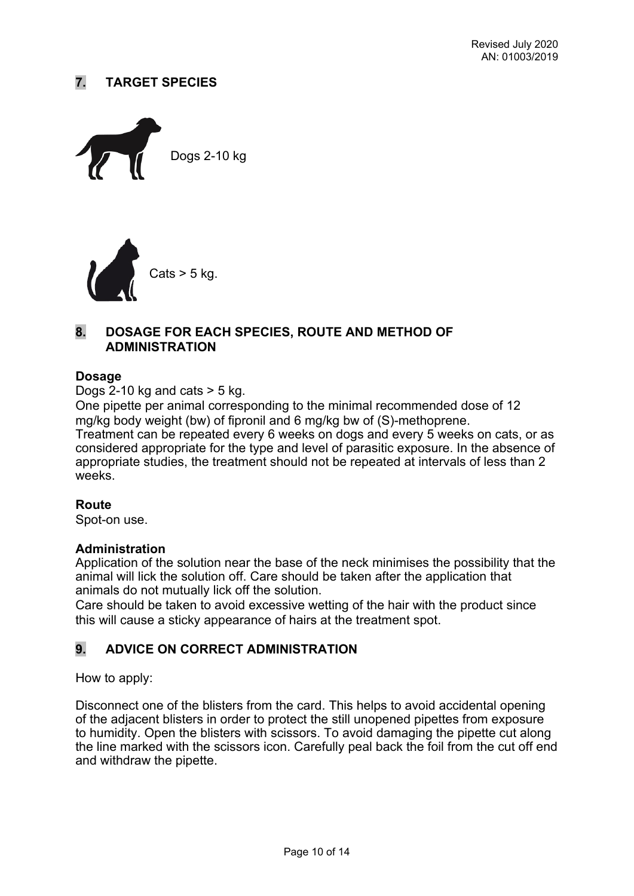## **7. TARGET SPECIES**





### **8. DOSAGE FOR EACH SPECIES, ROUTE AND METHOD OF ADMINISTRATION**

#### **Dosage**

Dogs 2-10 kg and cats  $>$  5 kg.

One pipette per animal corresponding to the minimal recommended dose of 12 mg/kg body weight (bw) of fipronil and 6 mg/kg bw of (S)-methoprene.

Treatment can be repeated every 6 weeks on dogs and every 5 weeks on cats, or as considered appropriate for the type and level of parasitic exposure. In the absence of appropriate studies, the treatment should not be repeated at intervals of less than 2 weeks.

#### **Route**

Spot-on use.

#### **Administration**

Application of the solution near the base of the neck minimises the possibility that the animal will lick the solution off. Care should be taken after the application that animals do not mutually lick off the solution.

Care should be taken to avoid excessive wetting of the hair with the product since this will cause a sticky appearance of hairs at the treatment spot.

## **9. ADVICE ON CORRECT ADMINISTRATION**

How to apply:

Disconnect one of the blisters from the card. This helps to avoid accidental opening of the adjacent blisters in order to protect the still unopened pipettes from exposure to humidity. Open the blisters with scissors. To avoid damaging the pipette cut along the line marked with the scissors icon. Carefully peal back the foil from the cut off end and withdraw the pipette.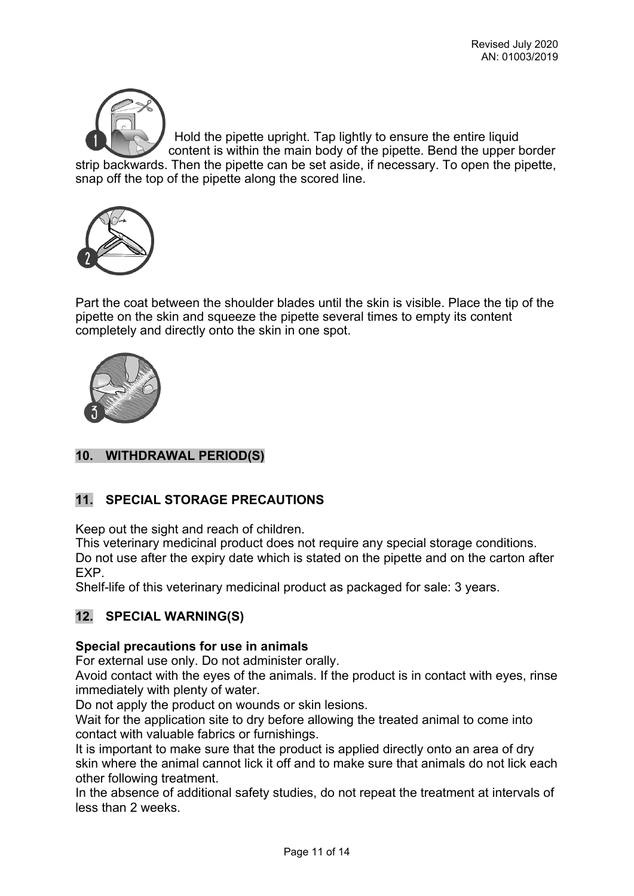

Hold the pipette upright. Tap lightly to ensure the entire liquid content is within the main body of the pipette. Bend the upper border strip backwards. Then the pipette can be set aside, if necessary. To open the pipette, snap off the top of the pipette along the scored line.



Part the coat between the shoulder blades until the skin is visible. Place the tip of the pipette on the skin and squeeze the pipette several times to empty its content completely and directly onto the skin in one spot.



## **10. WITHDRAWAL PERIOD(S)**

## **11. SPECIAL STORAGE PRECAUTIONS**

Keep out the sight and reach of children.

This veterinary medicinal product does not require any special storage conditions. Do not use after the expiry date which is stated on the pipette and on the carton after EXP.

Shelf-life of this veterinary medicinal product as packaged for sale: 3 years.

## **12. SPECIAL WARNING(S)**

#### **Special precautions for use in animals**

For external use only. Do not administer orally.

Avoid contact with the eyes of the animals. If the product is in contact with eyes, rinse immediately with plenty of water.

Do not apply the product on wounds or skin lesions.

Wait for the application site to dry before allowing the treated animal to come into contact with valuable fabrics or furnishings.

It is important to make sure that the product is applied directly onto an area of dry skin where the animal cannot lick it off and to make sure that animals do not lick each other following treatment.

In the absence of additional safety studies, do not repeat the treatment at intervals of less than 2 weeks.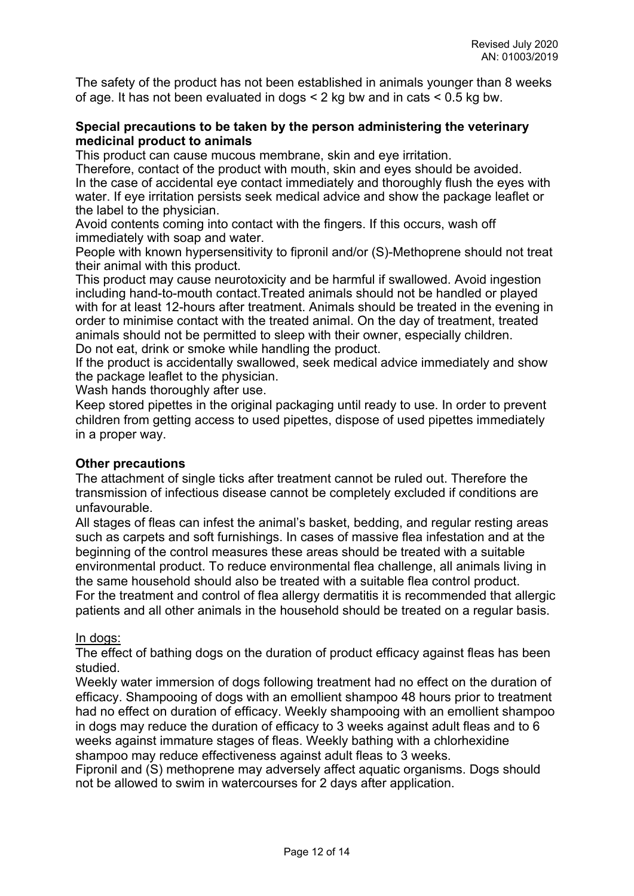The safety of the product has not been established in animals younger than 8 weeks of age. It has not been evaluated in dogs < 2 kg bw and in cats < 0.5 kg bw.

#### **Special precautions to be taken by the person administering the veterinary medicinal product to animals**

This product can cause mucous membrane, skin and eye irritation.

Therefore, contact of the product with mouth, skin and eyes should be avoided. In the case of accidental eye contact immediately and thoroughly flush the eyes with water. If eye irritation persists seek medical advice and show the package leaflet or the label to the physician.

Avoid contents coming into contact with the fingers. If this occurs, wash off immediately with soap and water.

People with known hypersensitivity to fipronil and/or (S)-Methoprene should not treat their animal with this product.

This product may cause neurotoxicity and be harmful if swallowed. Avoid ingestion including hand-to-mouth contact.Treated animals should not be handled or played with for at least 12-hours after treatment. Animals should be treated in the evening in order to minimise contact with the treated animal. On the day of treatment, treated animals should not be permitted to sleep with their owner, especially children. Do not eat, drink or smoke while handling the product.

If the product is accidentally swallowed, seek medical advice immediately and show the package leaflet to the physician.

Wash hands thoroughly after use.

Keep stored pipettes in the original packaging until ready to use. In order to prevent children from getting access to used pipettes, dispose of used pipettes immediately in a proper way.

#### **Other precautions**

The attachment of single ticks after treatment cannot be ruled out. Therefore the transmission of infectious disease cannot be completely excluded if conditions are unfavourable.

All stages of fleas can infest the animal's basket, bedding, and regular resting areas such as carpets and soft furnishings. In cases of massive flea infestation and at the beginning of the control measures these areas should be treated with a suitable environmental product. To reduce environmental flea challenge, all animals living in the same household should also be treated with a suitable flea control product. For the treatment and control of flea allergy dermatitis it is recommended that allergic patients and all other animals in the household should be treated on a regular basis.

#### In dogs:

The effect of bathing dogs on the duration of product efficacy against fleas has been studied.

Weekly water immersion of dogs following treatment had no effect on the duration of efficacy. Shampooing of dogs with an emollient shampoo 48 hours prior to treatment had no effect on duration of efficacy. Weekly shampooing with an emollient shampoo in dogs may reduce the duration of efficacy to 3 weeks against adult fleas and to 6 weeks against immature stages of fleas. Weekly bathing with a chlorhexidine shampoo may reduce effectiveness against adult fleas to 3 weeks.

Fipronil and (S) methoprene may adversely affect aquatic organisms. Dogs should not be allowed to swim in watercourses for 2 days after application.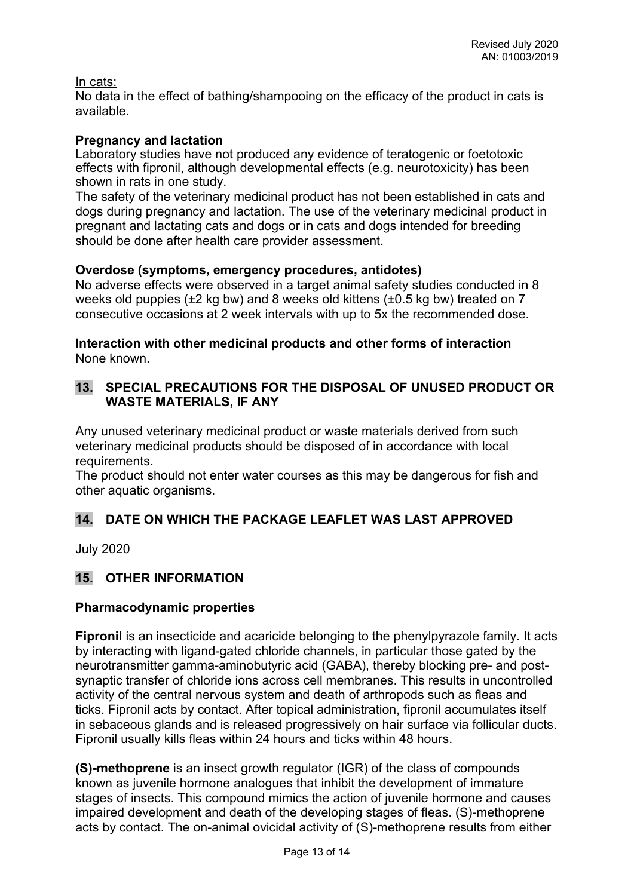#### In cats:

No data in the effect of bathing/shampooing on the efficacy of the product in cats is available.

### **Pregnancy and lactation**

Laboratory studies have not produced any evidence of teratogenic or foetotoxic effects with fipronil, although developmental effects (e.g. neurotoxicity) has been shown in rats in one study.

The safety of the veterinary medicinal product has not been established in cats and dogs during pregnancy and lactation. The use of the veterinary medicinal product in pregnant and lactating cats and dogs or in cats and dogs intended for breeding should be done after health care provider assessment.

#### **Overdose (symptoms, emergency procedures, antidotes)**

No adverse effects were observed in a target animal safety studies conducted in 8 weeks old puppies (±2 kg bw) and 8 weeks old kittens (±0.5 kg bw) treated on 7 consecutive occasions at 2 week intervals with up to 5x the recommended dose.

### **Interaction with other medicinal products and other forms of interaction** None known.

## **13. SPECIAL PRECAUTIONS FOR THE DISPOSAL OF UNUSED PRODUCT OR WASTE MATERIALS, IF ANY**

Any unused veterinary medicinal product or waste materials derived from such veterinary medicinal products should be disposed of in accordance with local requirements.

The product should not enter water courses as this may be dangerous for fish and other aquatic organisms.

## **14. DATE ON WHICH THE PACKAGE LEAFLET WAS LAST APPROVED**

July 2020

## **15. OTHER INFORMATION**

### **Pharmacodynamic properties**

**Fipronil** is an insecticide and acaricide belonging to the phenylpyrazole family. It acts by interacting with ligand-gated chloride channels, in particular those gated by the neurotransmitter gamma-aminobutyric acid (GABA), thereby blocking pre- and postsynaptic transfer of chloride ions across cell membranes. This results in uncontrolled activity of the central nervous system and death of arthropods such as fleas and ticks. Fipronil acts by contact. After topical administration, fipronil accumulates itself in sebaceous glands and is released progressively on hair surface via follicular ducts. Fipronil usually kills fleas within 24 hours and ticks within 48 hours.

**(S)-methoprene** is an insect growth regulator (IGR) of the class of compounds known as juvenile hormone analogues that inhibit the development of immature stages of insects. This compound mimics the action of juvenile hormone and causes impaired development and death of the developing stages of fleas. (S)-methoprene acts by contact. The on-animal ovicidal activity of (S)-methoprene results from either